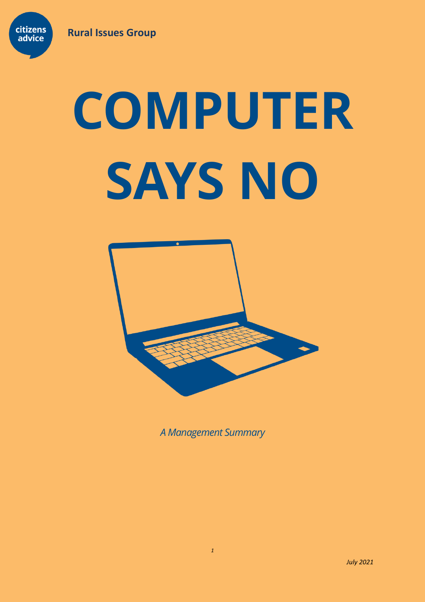

# **COMPUTER SAYS NO**



*A Management Summary*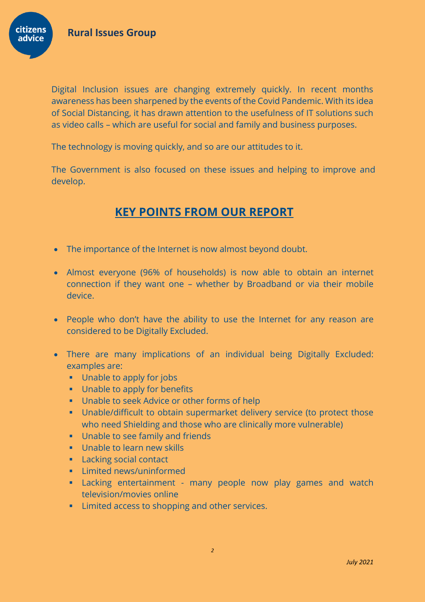**citizens** advice



The technology is moving quickly, and so are our attitudes to it.

The Government is also focused on these issues and helping to improve and develop.

# **KEY POINTS FROM OUR REPORT**

- The importance of the Internet is now almost beyond doubt.
- Almost everyone (96% of households) is now able to obtain an internet connection if they want one – whether by Broadband or via their mobile device.
- People who don't have the ability to use the Internet for any reason are considered to be Digitally Excluded.
- There are many implications of an individual being Digitally Excluded: examples are:
	- Unable to apply for jobs
	- **■** Unable to apply for benefits
	- Unable to seek Advice or other forms of help
	- **■** Unable/difficult to obtain supermarket delivery service (to protect those who need Shielding and those who are clinically more vulnerable)
	- Unable to see family and friends
	- **■** Unable to learn new skills
	- Lacking social contact
	- Limited news/uninformed
	- **E** Lacking entertainment many people now play games and watch television/movies online
	- **EXEC** Elimited access to shopping and other services.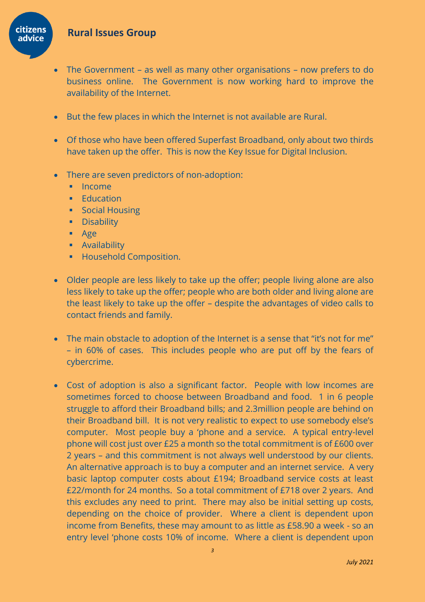## **Rural Issues Group**



- The Government as well as many other organisations now prefers to do business online. The Government is now working hard to improve the availability of the Internet.
- But the few places in which the Internet is not available are Rural.
- Of those who have been offered Superfast Broadband, only about two thirds have taken up the offer. This is now the Key Issue for Digital Inclusion.
- There are seven predictors of non-adoption:
	- Income
	- **•** Education
	- Social Housing
	- **•** Disability
	- Age
	- **■** Availability
	- Household Composition.
- Older people are less likely to take up the offer; people living alone are also less likely to take up the offer; people who are both older and living alone are the least likely to take up the offer – despite the advantages of video calls to contact friends and family.
- The main obstacle to adoption of the Internet is a sense that "it's not for me" – in 60% of cases. This includes people who are put off by the fears of cybercrime.
- Cost of adoption is also a significant factor. People with low incomes are sometimes forced to choose between Broadband and food. 1 in 6 people struggle to afford their Broadband bills; and 2.3million people are behind on their Broadband bill. It is not very realistic to expect to use somebody else's computer. Most people buy a 'phone and a service. A typical entry-level phone will cost just over £25 a month so the total commitment is of £600 over 2 years – and this commitment is not always well understood by our clients. An alternative approach is to buy a computer and an internet service. A very basic laptop computer costs about £194; Broadband service costs at least £22/month for 24 months. So a total commitment of £718 over 2 years. And this excludes any need to print. There may also be initial setting up costs, depending on the choice of provider. Where a client is dependent upon income from Benefits, these may amount to as little as £58.90 a week - so an entry level 'phone costs 10% of income. Where a client is dependent upon